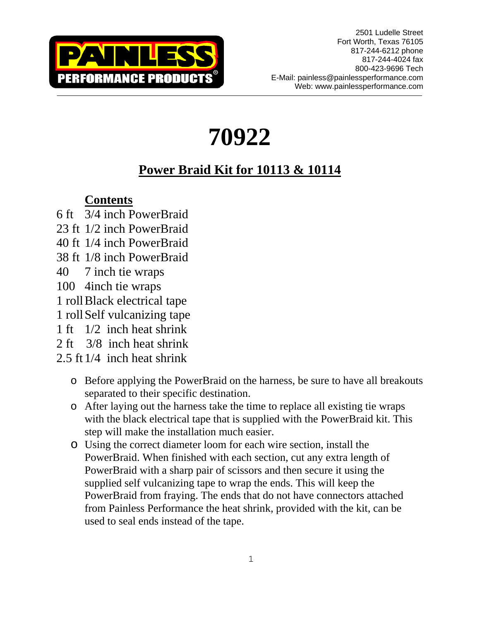

# **70922**

## **Power Braid Kit for 10113 & 10114**

## **Contents**

- 6 ft 3/4 inch PowerBraid
- 23 ft 1/2 inch PowerBraid
- 40 ft 1/4 inch PowerBraid
- 38 ft 1/8 inch PowerBraid
- 40 7 inch tie wraps
- 100 4inch tie wraps
- 1 roll Black electrical tape
- 1 roll Self vulcanizing tape
- 1 ft 1/2 inch heat shrink
- 2 ft 3/8 inch heat shrink
- 2.5 ft 1/4 inch heat shrink
	- o Before applying the PowerBraid on the harness, be sure to have all breakouts separated to their specific destination.
	- o After laying out the harness take the time to replace all existing tie wraps with the black electrical tape that is supplied with the PowerBraid kit. This step will make the installation much easier.
	- o Using the correct diameter loom for each wire section, install the PowerBraid. When finished with each section, cut any extra length of PowerBraid with a sharp pair of scissors and then secure it using the supplied self vulcanizing tape to wrap the ends. This will keep the PowerBraid from fraying. The ends that do not have connectors attached from Painless Performance the heat shrink, provided with the kit, can be used to seal ends instead of the tape.